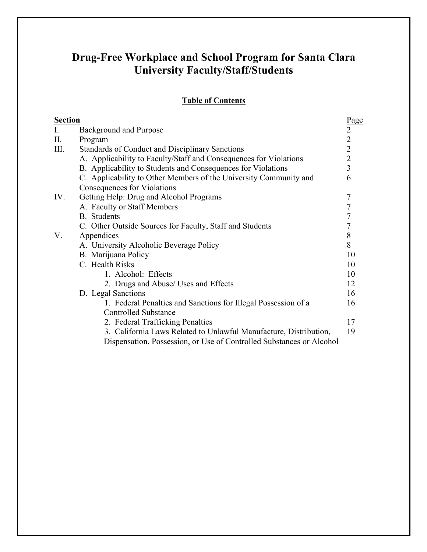# **Table of Contents**

| <b>Section</b> |                                                                      |                  |  |  |  |
|----------------|----------------------------------------------------------------------|------------------|--|--|--|
| $\mathbf{I}$ . | Page<br>$\overline{2}$<br><b>Background and Purpose</b>              |                  |  |  |  |
| П.             | Program                                                              | $\overline{2}$   |  |  |  |
| III.           | <b>Standards of Conduct and Disciplinary Sanctions</b>               |                  |  |  |  |
|                | A. Applicability to Faculty/Staff and Consequences for Violations    | $\overline{2}$   |  |  |  |
|                | B. Applicability to Students and Consequences for Violations         | $\overline{3}$   |  |  |  |
|                | C. Applicability to Other Members of the University Community and    | 6                |  |  |  |
|                | Consequences for Violations                                          |                  |  |  |  |
| IV.            | Getting Help: Drug and Alcohol Programs                              |                  |  |  |  |
|                | A. Faculty or Staff Members                                          | 7                |  |  |  |
|                | <b>B.</b> Students                                                   | $\boldsymbol{7}$ |  |  |  |
|                | C. Other Outside Sources for Faculty, Staff and Students             |                  |  |  |  |
| V.             | Appendices                                                           |                  |  |  |  |
|                | A. University Alcoholic Beverage Policy                              |                  |  |  |  |
|                | B. Marijuana Policy                                                  |                  |  |  |  |
|                | C. Health Risks                                                      |                  |  |  |  |
|                | 1. Alcohol: Effects                                                  | 10               |  |  |  |
|                | 2. Drugs and Abuse/ Uses and Effects                                 | 12               |  |  |  |
|                | D. Legal Sanctions                                                   | 16               |  |  |  |
|                | 1. Federal Penalties and Sanctions for Illegal Possession of a       | 16               |  |  |  |
|                | <b>Controlled Substance</b>                                          |                  |  |  |  |
|                | 2. Federal Trafficking Penalties                                     | 17               |  |  |  |
|                | 3. California Laws Related to Unlawful Manufacture, Distribution,    | 19               |  |  |  |
|                | Dispensation, Possession, or Use of Controlled Substances or Alcohol |                  |  |  |  |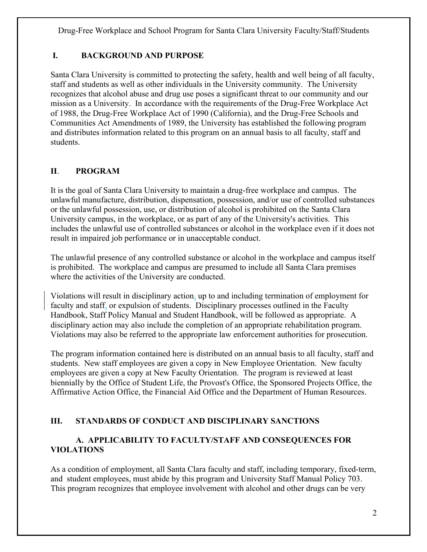# **I. BACKGROUND AND PURPOSE**

Santa Clara University is committed to protecting the safety, health and well being of all faculty, staff and students as well as other individuals in the University community. The University recognizes that alcohol abuse and drug use poses a significant threat to our community and our mission as a University. In accordance with the requirements of the Drug-Free Workplace Act of 1988, the Drug-Free Workplace Act of 1990 (California), and the Drug-Free Schools and Communities Act Amendments of 1989, the University has established the following program and distributes information related to this program on an annual basis to all faculty, staff and students.

# **II**. **PROGRAM**

It is the goal of Santa Clara University to maintain a drug-free workplace and campus. The unlawful manufacture, distribution, dispensation, possession, and/or use of controlled substances or the unlawful possession, use, or distribution of alcohol is prohibited on the Santa Clara University campus, in the workplace, or as part of any of the University's activities. This includes the unlawful use of controlled substances or alcohol in the workplace even if it does not result in impaired job performance or in unacceptable conduct.

The unlawful presence of any controlled substance or alcohol in the workplace and campus itself is prohibited. The workplace and campus are presumed to include all Santa Clara premises where the activities of the University are conducted.

Violations will result in disciplinary action, up to and including termination of employment for faculty and staff, or expulsion of students. Disciplinary processes outlined in the Faculty Handbook, Staff Policy Manual and Student Handbook, will be followed as appropriate. A disciplinary action may also include the completion of an appropriate rehabilitation program. Violations may also be referred to the appropriate law enforcement authorities for prosecution.

The program information contained here is distributed on an annual basis to all faculty, staff and students. New staff employees are given a copy in New Employee Orientation. New faculty employees are given a copy at New Faculty Orientation.The program is reviewed at least biennially by the Office of Student Life, the Provost's Office, the Sponsored Projects Office, the Affirmative Action Office, the Financial Aid Office and the Department of Human Resources.

# **III. STANDARDS OF CONDUCT AND DISCIPLINARY SANCTIONS**

# **A. APPLICABILITY TO FACULTY/STAFF AND CONSEQUENCES FOR VIOLATIONS**

As a condition of employment, all Santa Clara faculty and staff, including temporary, fixed-term, and student employees, must abide by this program and University Staff Manual Policy 703. This program recognizes that employee involvement with alcohol and other drugs can be very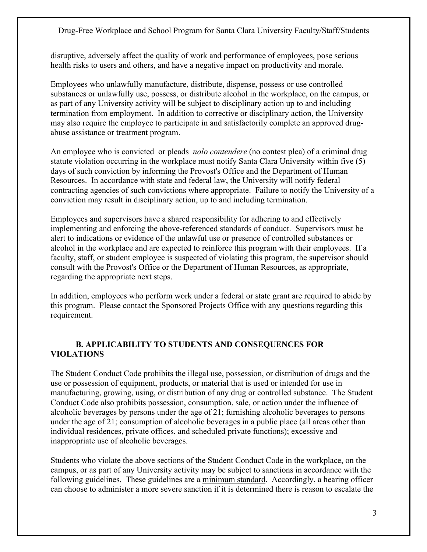disruptive, adversely affect the quality of work and performance of employees, pose serious health risks to users and others, and have a negative impact on productivity and morale.

Employees who unlawfully manufacture, distribute, dispense, possess or use controlled substances or unlawfully use, possess, or distribute alcohol in the workplace, on the campus, or as part of any University activity will be subject to disciplinary action up to and including termination from employment. In addition to corrective or disciplinary action, the University may also require the employee to participate in and satisfactorily complete an approved drugabuse assistance or treatment program.

An employee who is convicted or pleads *nolo contendere* (no contest plea) of a criminal drug statute violation occurring in the workplace must notify Santa Clara University within five (5) days of such conviction by informing the Provost's Office and the Department of Human Resources. In accordance with state and federal law, the University will notify federal contracting agencies of such convictions where appropriate. Failure to notify the University of a conviction may result in disciplinary action, up to and including termination.

Employees and supervisors have a shared responsibility for adhering to and effectively implementing and enforcing the above-referenced standards of conduct. Supervisors must be alert to indications or evidence of the unlawful use or presence of controlled substances or alcohol in the workplace and are expected to reinforce this program with their employees. If a faculty, staff, or student employee is suspected of violating this program, the supervisor should consult with the Provost's Office or the Department of Human Resources, as appropriate, regarding the appropriate next steps.

In addition, employees who perform work under a federal or state grant are required to abide by this program. Please contact the Sponsored Projects Office with any questions regarding this requirement.

### **B. APPLICABILITY TO STUDENTS AND CONSEQUENCES FOR VIOLATIONS**

The Student Conduct Code prohibits the illegal use, possession, or distribution of drugs and the use or possession of equipment, products, or material that is used or intended for use in manufacturing, growing, using, or distribution of any drug or controlled substance. The Student Conduct Code also prohibits possession, consumption, sale, or action under the influence of alcoholic beverages by persons under the age of 21; furnishing alcoholic beverages to persons under the age of 21; consumption of alcoholic beverages in a public place (all areas other than individual residences, private offices, and scheduled private functions); excessive and inappropriate use of alcoholic beverages.

Students who violate the above sections of the Student Conduct Code in the workplace, on the campus, or as part of any University activity may be subject to sanctions in accordance with the following guidelines. These guidelines are a minimum standard. Accordingly, a hearing officer can choose to administer a more severe sanction if it is determined there is reason to escalate the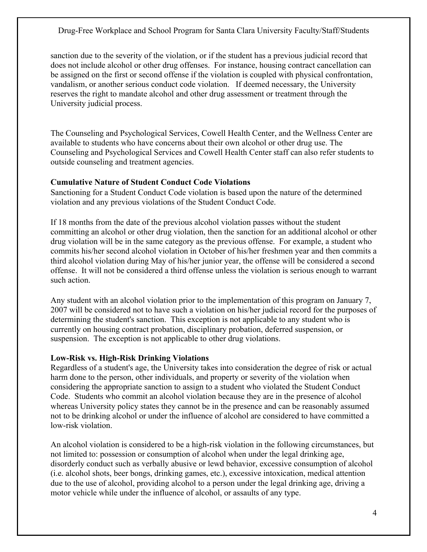sanction due to the severity of the violation, or if the student has a previous judicial record that does not include alcohol or other drug offenses. For instance, housing contract cancellation can be assigned on the first or second offense if the violation is coupled with physical confrontation, vandalism, or another serious conduct code violation. If deemed necessary, the University reserves the right to mandate alcohol and other drug assessment or treatment through the University judicial process.

The Counseling and Psychological Services, Cowell Health Center, and the Wellness Center are available to students who have concerns about their own alcohol or other drug use. The Counseling and Psychological Services and Cowell Health Center staff can also refer students to outside counseling and treatment agencies.

#### **Cumulative Nature of Student Conduct Code Violations**

Sanctioning for a Student Conduct Code violation is based upon the nature of the determined violation and any previous violations of the Student Conduct Code.

If 18 months from the date of the previous alcohol violation passes without the student committing an alcohol or other drug violation, then the sanction for an additional alcohol or other drug violation will be in the same category as the previous offense. For example, a student who commits his/her second alcohol violation in October of his/her freshmen year and then commits a third alcohol violation during May of his/her junior year, the offense will be considered a second offense. It will not be considered a third offense unless the violation is serious enough to warrant such action.

Any student with an alcohol violation prior to the implementation of this program on January 7, 2007 will be considered not to have such a violation on his/her judicial record for the purposes of determining the student's sanction. This exception is not applicable to any student who is currently on housing contract probation, disciplinary probation, deferred suspension, or suspension. The exception is not applicable to other drug violations.

#### **Low-Risk vs. High-Risk Drinking Violations**

Regardless of a student's age, the University takes into consideration the degree of risk or actual harm done to the person, other individuals, and property or severity of the violation when considering the appropriate sanction to assign to a student who violated the Student Conduct Code. Students who commit an alcohol violation because they are in the presence of alcohol whereas University policy states they cannot be in the presence and can be reasonably assumed not to be drinking alcohol or under the influence of alcohol are considered to have committed a low-risk violation.

An alcohol violation is considered to be a high-risk violation in the following circumstances, but not limited to: possession or consumption of alcohol when under the legal drinking age, disorderly conduct such as verbally abusive or lewd behavior, excessive consumption of alcohol (i.e. alcohol shots, beer bongs, drinking games, etc.), excessive intoxication, medical attention due to the use of alcohol, providing alcohol to a person under the legal drinking age, driving a motor vehicle while under the influence of alcohol, or assaults of any type.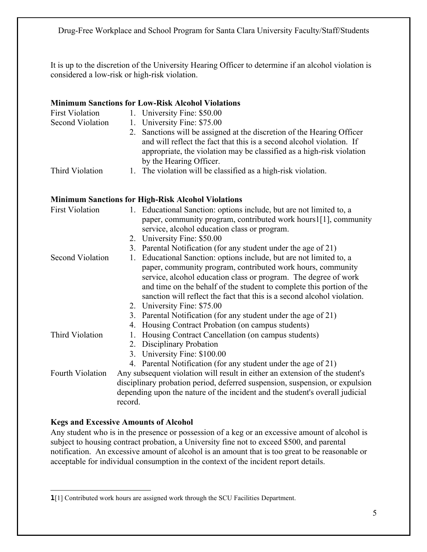It is up to the discretion of the University Hearing Officer to determine if an alcohol violation is considered a low-risk or high-risk violation.

#### **Minimum Sanctions for Low-Risk Alcohol Violations**

| <b>First Violation</b> | 1. University Fine: \$50.00                                            |
|------------------------|------------------------------------------------------------------------|
| Second Violation       | 1. University Fine: \$75.00                                            |
|                        | 2. Sanctions will be assigned at the discretion of the Hearing Officer |
|                        | and will reflect the fact that this is a second alcohol violation. If  |
|                        | appropriate, the violation may be classified as a high-risk violation  |
|                        | by the Hearing Officer.                                                |
| Third Violation        | 1. The violation will be classified as a high-risk violation.          |

#### **Minimum Sanctions for High-Risk Alcohol Violations**

| <b>First Violation</b> | 1. Educational Sanction: options include, but are not limited to, a                                                                   |  |  |  |
|------------------------|---------------------------------------------------------------------------------------------------------------------------------------|--|--|--|
|                        | paper, community program, contributed work hours1[1], community                                                                       |  |  |  |
|                        | service, alcohol education class or program.                                                                                          |  |  |  |
|                        | 2. University Fine: \$50.00                                                                                                           |  |  |  |
|                        | 3. Parental Notification (for any student under the age of 21)                                                                        |  |  |  |
| Second Violation       | Educational Sanction: options include, but are not limited to, a<br>1.<br>paper, community program, contributed work hours, community |  |  |  |
|                        | service, alcohol education class or program. The degree of work                                                                       |  |  |  |
|                        | and time on the behalf of the student to complete this portion of the                                                                 |  |  |  |
|                        |                                                                                                                                       |  |  |  |
|                        | sanction will reflect the fact that this is a second alcohol violation.                                                               |  |  |  |
|                        | 2. University Fine: \$75.00                                                                                                           |  |  |  |
|                        | 3. Parental Notification (for any student under the age of 21)                                                                        |  |  |  |
|                        | 4. Housing Contract Probation (on campus students)                                                                                    |  |  |  |
| Third Violation        | 1. Housing Contract Cancellation (on campus students)                                                                                 |  |  |  |
|                        | 2. Disciplinary Probation                                                                                                             |  |  |  |
|                        | 3. University Fine: \$100.00                                                                                                          |  |  |  |
|                        | 4. Parental Notification (for any student under the age of 21)                                                                        |  |  |  |
| Fourth Violation       | Any subsequent violation will result in either an extension of the student's                                                          |  |  |  |
|                        | disciplinary probation period, deferred suspension, suspension, or expulsion                                                          |  |  |  |
|                        | depending upon the nature of the incident and the student's overall judicial                                                          |  |  |  |
|                        | record.                                                                                                                               |  |  |  |

### **Kegs and Excessive Amounts of Alcohol**

Any student who is in the presence or possession of a keg or an excessive amount of alcohol is subject to housing contract probation, a University fine not to exceed \$500, and parental notification. An excessive amount of alcohol is an amount that is too great to be reasonable or acceptable for individual consumption in the context of the incident report details.

 $\overline{a}$ **1**[1] Contributed work hours are assigned work through the SCU Facilities Department.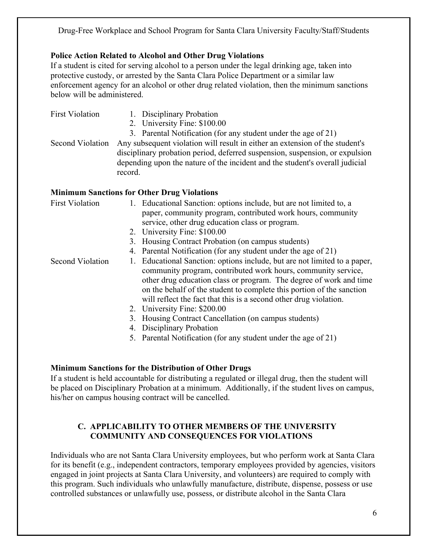### **Police Action Related to Alcohol and Other Drug Violations**

If a student is cited for serving alcohol to a person under the legal drinking age, taken into protective custody, or arrested by the Santa Clara Police Department or a similar law enforcement agency for an alcohol or other drug related violation, then the minimum sanctions below will be administered.

- First Violation 1. Disciplinary Probation
	- 2. University Fine: \$100.00
	- 3. Parental Notification (for any student under the age of 21)

Second Violation Any subsequent violation will result in either an extension of the student's disciplinary probation period, deferred suspension, suspension, or expulsion depending upon the nature of the incident and the student's overall judicial record.

### **Minimum Sanctions for Other Drug Violations**

| <b>First Violation</b>  | 1. Educational Sanction: options include, but are not limited to, a       |
|-------------------------|---------------------------------------------------------------------------|
|                         | paper, community program, contributed work hours, community               |
|                         | service, other drug education class or program.                           |
|                         | 2. University Fine: \$100.00                                              |
|                         | 3. Housing Contract Probation (on campus students)                        |
|                         | 4. Parental Notification (for any student under the age of 21)            |
| <b>Second Violation</b> | 1. Educational Sanction: options include, but are not limited to a paper, |
|                         | community program, contributed work hours, community service,             |
|                         | other drug education class or program. The degree of work and time        |
|                         | on the behalf of the student to complete this portion of the sanction     |
|                         | will reflect the fact that this is a second other drug violation.         |
|                         | 2. University Fine: \$200.00                                              |
|                         | 3. Housing Contract Cancellation (on campus students)                     |
|                         | 4. Disciplinary Probation                                                 |
|                         | 5. Parental Notification (for any student under the age of 21)            |

#### **Minimum Sanctions for the Distribution of Other Drugs**

If a student is held accountable for distributing a regulated or illegal drug, then the student will be placed on Disciplinary Probation at a minimum. Additionally, if the student lives on campus, his/her on campus housing contract will be cancelled.

### **C. APPLICABILITY TO OTHER MEMBERS OF THE UNIVERSITY COMMUNITY AND CONSEQUENCES FOR VIOLATIONS**

Individuals who are not Santa Clara University employees, but who perform work at Santa Clara for its benefit (e.g., independent contractors, temporary employees provided by agencies, visitors engaged in joint projects at Santa Clara University, and volunteers) are required to comply with this program. Such individuals who unlawfully manufacture, distribute, dispense, possess or use controlled substances or unlawfully use, possess, or distribute alcohol in the Santa Clara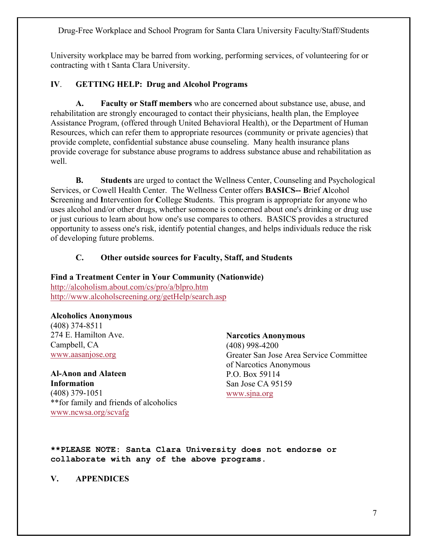University workplace may be barred from working, performing services, of volunteering for or contracting with t Santa Clara University.

### **IV**. **GETTING HELP: Drug and Alcohol Programs**

**A. Faculty or Staff members** who are concerned about substance use, abuse, and rehabilitation are strongly encouraged to contact their physicians, health plan, the Employee Assistance Program, (offered through United Behavioral Health), or the Department of Human Resources, which can refer them to appropriate resources (community or private agencies) that provide complete, confidential substance abuse counseling. Many health insurance plans provide coverage for substance abuse programs to address substance abuse and rehabilitation as well.

**B. Students** are urged to contact the Wellness Center, Counseling and Psychological Services, or Cowell Health Center. The Wellness Center offers **BASICS-- B**rief **A**lcohol **S**creening and **I**ntervention for **C**ollege **S**tudents. This program is appropriate for anyone who uses alcohol and/or other drugs, whether someone is concerned about one's drinking or drug use or just curious to learn about how one's use compares to others. BASICS provides a structured opportunity to assess one's risk, identify potential changes, and helps individuals reduce the risk of developing future problems.

#### **C. Other outside sources for Faculty, Staff, and Students**

#### **Find a Treatment Center in Your Community (Nationwide)**  http://alcoholism.about.com/cs/pro/a/blpro.htm http://www.alcoholscreening.org/getHelp/search.asp

#### **Alcoholics Anonymous**

(408) 374-8511 274 E. Hamilton Ave. Campbell, CA www.aasanjose.org

**Al-Anon and Alateen Information** (408) 379-1051 \*\*for family and friends of alcoholics www.ncwsa.org/scvafg

#### **Narcotics Anonymous**

(408) 998-4200 Greater San Jose Area Service Committee of Narcotics Anonymous P.O. Box 59114 San Jose CA 95159 www.sjna.org

**\*\*PLEASE NOTE: Santa Clara University does not endorse or collaborate with any of the above programs.** 

#### **V. APPENDICES**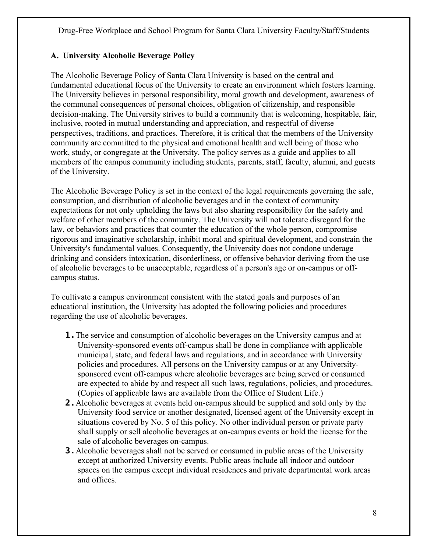### **A. University Alcoholic Beverage Policy**

The Alcoholic Beverage Policy of Santa Clara University is based on the central and fundamental educational focus of the University to create an environment which fosters learning. The University believes in personal responsibility, moral growth and development, awareness of the communal consequences of personal choices, obligation of citizenship, and responsible decision-making. The University strives to build a community that is welcoming, hospitable, fair, inclusive, rooted in mutual understanding and appreciation, and respectful of diverse perspectives, traditions, and practices. Therefore, it is critical that the members of the University community are committed to the physical and emotional health and well being of those who work, study, or congregate at the University. The policy serves as a guide and applies to all members of the campus community including students, parents, staff, faculty, alumni, and guests of the University.

The Alcoholic Beverage Policy is set in the context of the legal requirements governing the sale, consumption, and distribution of alcoholic beverages and in the context of community expectations for not only upholding the laws but also sharing responsibility for the safety and welfare of other members of the community. The University will not tolerate disregard for the law, or behaviors and practices that counter the education of the whole person, compromise rigorous and imaginative scholarship, inhibit moral and spiritual development, and constrain the University's fundamental values. Consequently, the University does not condone underage drinking and considers intoxication, disorderliness, or offensive behavior deriving from the use of alcoholic beverages to be unacceptable, regardless of a person's age or on-campus or offcampus status.

To cultivate a campus environment consistent with the stated goals and purposes of an educational institution, the University has adopted the following policies and procedures regarding the use of alcoholic beverages.

- **1.** The service and consumption of alcoholic beverages on the University campus and at University-sponsored events off-campus shall be done in compliance with applicable municipal, state, and federal laws and regulations, and in accordance with University policies and procedures. All persons on the University campus or at any Universitysponsored event off-campus where alcoholic beverages are being served or consumed are expected to abide by and respect all such laws, regulations, policies, and procedures. (Copies of applicable laws are available from the Office of Student Life.)
- **2.**Alcoholic beverages at events held on-campus should be supplied and sold only by the University food service or another designated, licensed agent of the University except in situations covered by No. 5 of this policy. No other individual person or private party shall supply or sell alcoholic beverages at on-campus events or hold the license for the sale of alcoholic beverages on-campus.
- **3.**Alcoholic beverages shall not be served or consumed in public areas of the University except at authorized University events. Public areas include all indoor and outdoor spaces on the campus except individual residences and private departmental work areas and offices.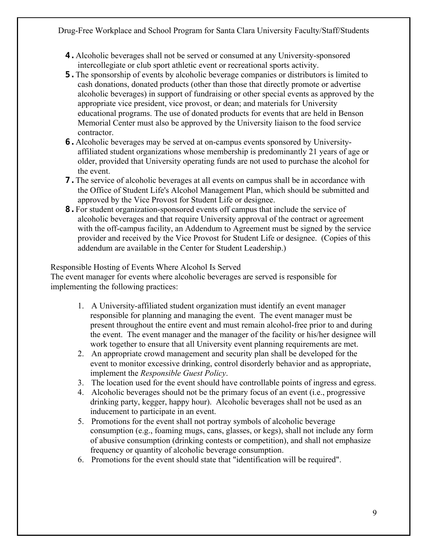- **4.**Alcoholic beverages shall not be served or consumed at any University-sponsored intercollegiate or club sport athletic event or recreational sports activity.
- **5.**The sponsorship of events by alcoholic beverage companies or distributors is limited to cash donations, donated products (other than those that directly promote or advertise alcoholic beverages) in support of fundraising or other special events as approved by the appropriate vice president, vice provost, or dean; and materials for University educational programs. The use of donated products for events that are held in Benson Memorial Center must also be approved by the University liaison to the food service contractor.
- **6.**Alcoholic beverages may be served at on-campus events sponsored by Universityaffiliated student organizations whose membership is predominantly 21 years of age or older, provided that University operating funds are not used to purchase the alcohol for the event.
- **7.** The service of alcoholic beverages at all events on campus shall be in accordance with the Office of Student Life's Alcohol Management Plan, which should be submitted and approved by the Vice Provost for Student Life or designee.
- **8.**For student organization-sponsored events off campus that include the service of alcoholic beverages and that require University approval of the contract or agreement with the off-campus facility, an Addendum to Agreement must be signed by the service provider and received by the Vice Provost for Student Life or designee. (Copies of this addendum are available in the Center for Student Leadership.)

Responsible Hosting of Events Where Alcohol Is Served

The event manager for events where alcoholic beverages are served is responsible for implementing the following practices:

- 1. A University-affiliated student organization must identify an event manager responsible for planning and managing the event. The event manager must be present throughout the entire event and must remain alcohol-free prior to and during the event. The event manager and the manager of the facility or his/her designee will work together to ensure that all University event planning requirements are met.
- 2. An appropriate crowd management and security plan shall be developed for the event to monitor excessive drinking, control disorderly behavior and as appropriate, implement the *Responsible Guest Policy*.
- 3. The location used for the event should have controllable points of ingress and egress.
- 4. Alcoholic beverages should not be the primary focus of an event (i.e., progressive drinking party, kegger, happy hour). Alcoholic beverages shall not be used as an inducement to participate in an event.
- 5. Promotions for the event shall not portray symbols of alcoholic beverage consumption (e.g., foaming mugs, cans, glasses, or kegs), shall not include any form of abusive consumption (drinking contests or competition), and shall not emphasize frequency or quantity of alcoholic beverage consumption.
- 6. Promotions for the event should state that "identification will be required".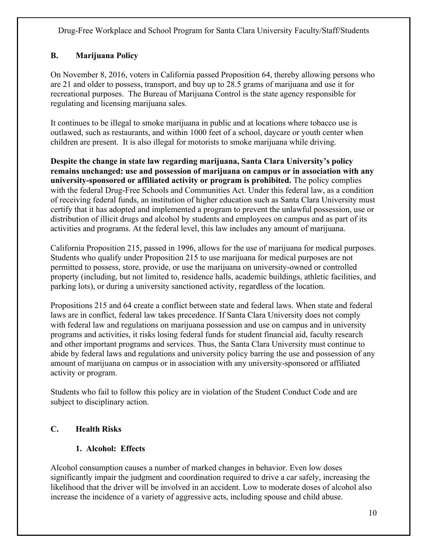# **B. Marijuana Policy**

On November 8, 2016, voters in California passed Proposition 64, thereby allowing persons who are 21 and older to possess, transport, and buy up to 28.5 grams of marijuana and use it for recreational purposes. The Bureau of Marijuana Control is the state agency responsible for regulating and licensing marijuana sales.

It continues to be illegal to smoke marijuana in public and at locations where tobacco use is outlawed, such as restaurants, and within 1000 feet of a school, daycare or youth center when children are present. It is also illegal for motorists to smoke marijuana while driving.

**Despite the change in state law regarding marijuana, Santa Clara University's policy remains unchanged: use and possession of marijuana on campus or in association with any university-sponsored or affiliated activity or program is prohibited.** The policy complies with the federal Drug-Free Schools and Communities Act. Under this federal law, as a condition of receiving federal funds, an institution of higher education such as Santa Clara University must certify that it has adopted and implemented a program to prevent the unlawful possession, use or distribution of illicit drugs and alcohol by students and employees on campus and as part of its activities and programs. At the federal level, this law includes any amount of marijuana.

California Proposition 215, passed in 1996, allows for the use of marijuana for medical purposes. Students who qualify under Proposition 215 to use marijuana for medical purposes are not permitted to possess, store, provide, or use the marijuana on university-owned or controlled property (including, but not limited to, residence halls, academic buildings, athletic facilities, and parking lots), or during a university sanctioned activity, regardless of the location.

Propositions 215 and 64 create a conflict between state and federal laws. When state and federal laws are in conflict, federal law takes precedence. If Santa Clara University does not comply with federal law and regulations on marijuana possession and use on campus and in university programs and activities, it risks losing federal funds for student financial aid, faculty research and other important programs and services. Thus, the Santa Clara University must continue to abide by federal laws and regulations and university policy barring the use and possession of any amount of marijuana on campus or in association with any university-sponsored or affiliated activity or program.

Students who fail to follow this policy are in violation of the Student Conduct Code and are subject to disciplinary action.

# **C. Health Risks**

# **1. Alcohol: Effects**

Alcohol consumption causes a number of marked changes in behavior. Even low doses significantly impair the judgment and coordination required to drive a car safely, increasing the likelihood that the driver will be involved in an accident. Low to moderate doses of alcohol also increase the incidence of a variety of aggressive acts, including spouse and child abuse.